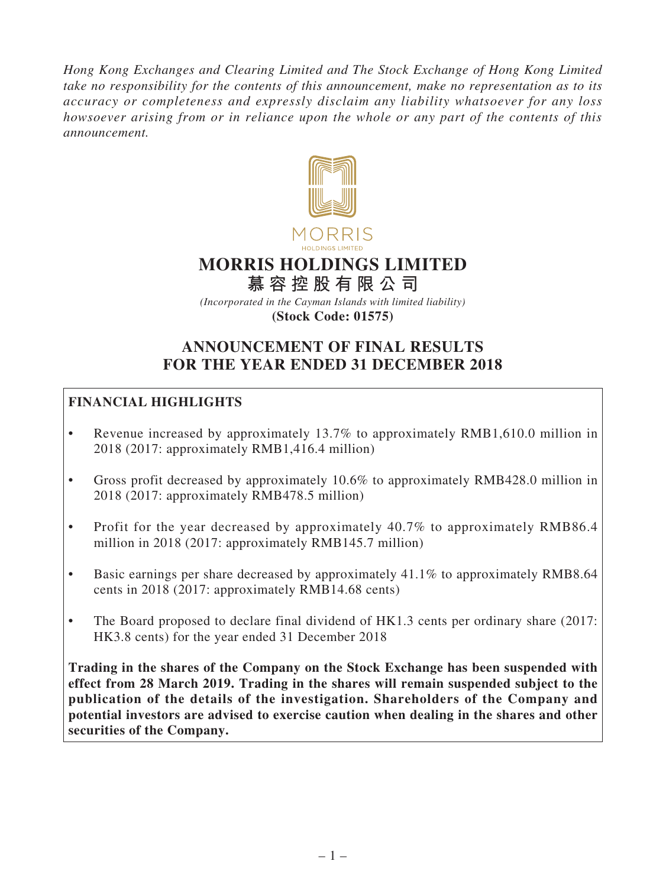*Hong Kong Exchanges and Clearing Limited and The Stock Exchange of Hong Kong Limited take no responsibility for the contents of this announcement, make no representation as to its accuracy or completeness and expressly disclaim any liability whatsoever for any loss howsoever arising from or in reliance upon the whole or any part of the contents of this announcement.*



# **MORRIS HOLDINGS LIMITED**

**慕 容 控 股 有 限 公 司**

*(Incorporated in the Cayman Islands with limited liability)* **(Stock Code: 01575)**

# **ANNOUNCEMENT OF FINAL RESULTS FOR THE YEAR ENDED 31 DECEMBER 2018**

# **FINANCIAL HIGHLIGHTS**

- Revenue increased by approximately 13.7% to approximately RMB1,610.0 million in 2018 (2017: approximately RMB1,416.4 million)
- Gross profit decreased by approximately 10.6% to approximately RMB428.0 million in 2018 (2017: approximately RMB478.5 million)
- Profit for the year decreased by approximately 40.7% to approximately RMB86.4 million in 2018 (2017: approximately RMB145.7 million)
- Basic earnings per share decreased by approximately 41.1% to approximately RMB8.64 cents in 2018 (2017: approximately RMB14.68 cents)
- The Board proposed to declare final dividend of HK1.3 cents per ordinary share (2017: HK3.8 cents) for the year ended 31 December 2018

**Trading in the shares of the Company on the Stock Exchange has been suspended with effect from 28 March 2019. Trading in the shares will remain suspended subject to the publication of the details of the investigation. Shareholders of the Company and potential investors are advised to exercise caution when dealing in the shares and other securities of the Company.**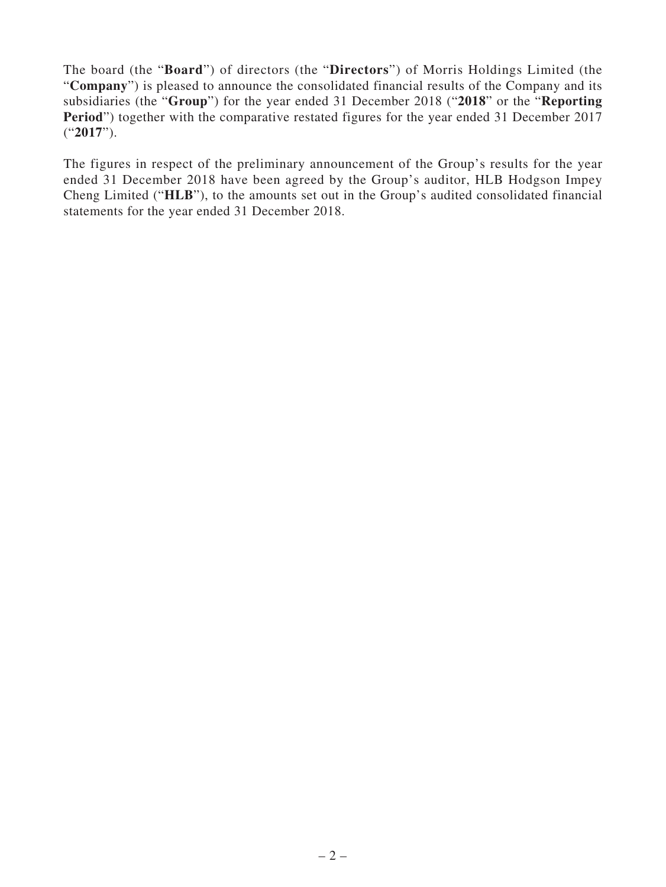The board (the "**Board**") of directors (the "**Directors**") of Morris Holdings Limited (the "**Company**") is pleased to announce the consolidated financial results of the Company and its subsidiaries (the "**Group**") for the year ended 31 December 2018 ("**2018**" or the "**Reporting Period**") together with the comparative restated figures for the year ended 31 December 2017 ("**2017**").

The figures in respect of the preliminary announcement of the Group's results for the year ended 31 December 2018 have been agreed by the Group's auditor, HLB Hodgson Impey Cheng Limited ("**HLB**"), to the amounts set out in the Group's audited consolidated financial statements for the year ended 31 December 2018.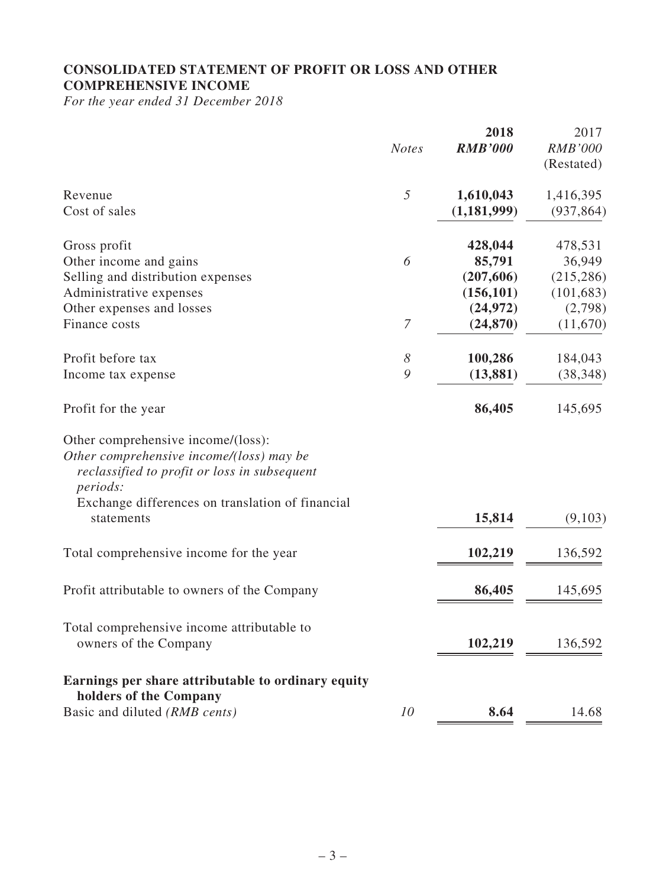# **CONSOLIDATED STATEMENT OF PROFIT OR LOSS AND OTHER COMPREHENSIVE INCOME**

*For the year ended 31 December 2018*

|                                                                                                                                                                                                | <b>Notes</b>     | 2018<br><b>RMB'000</b>                        | 2017<br><b>RMB'000</b><br>(Restated)          |
|------------------------------------------------------------------------------------------------------------------------------------------------------------------------------------------------|------------------|-----------------------------------------------|-----------------------------------------------|
| Revenue<br>Cost of sales                                                                                                                                                                       | 5                | 1,610,043<br>(1, 181, 999)                    | 1,416,395<br>(937, 864)                       |
| Gross profit<br>Other income and gains<br>Selling and distribution expenses<br>Administrative expenses                                                                                         | 6                | 428,044<br>85,791<br>(207, 606)<br>(156, 101) | 478,531<br>36,949<br>(215, 286)<br>(101, 683) |
| Other expenses and losses<br>Finance costs                                                                                                                                                     | $\boldsymbol{7}$ | (24, 972)<br>(24, 870)                        | (2,798)<br>(11,670)                           |
| Profit before tax<br>Income tax expense                                                                                                                                                        | 8<br>9           | 100,286<br>(13, 881)                          | 184,043<br>(38, 348)                          |
| Profit for the year                                                                                                                                                                            |                  | 86,405                                        | 145,695                                       |
| Other comprehensive income/(loss):<br>Other comprehensive income/(loss) may be<br>reclassified to profit or loss in subsequent<br>periods:<br>Exchange differences on translation of financial |                  |                                               |                                               |
| statements                                                                                                                                                                                     |                  | 15,814                                        | (9,103)                                       |
| Total comprehensive income for the year                                                                                                                                                        |                  | 102,219                                       | 136,592                                       |
| Profit attributable to owners of the Company                                                                                                                                                   |                  | 86,405                                        | 145,695                                       |
| Total comprehensive income attributable to<br>owners of the Company                                                                                                                            |                  | 102,219                                       | 136,592                                       |
| Earnings per share attributable to ordinary equity<br>holders of the Company                                                                                                                   |                  |                                               |                                               |
| Basic and diluted (RMB cents)                                                                                                                                                                  | 10               | 8.64                                          | 14.68                                         |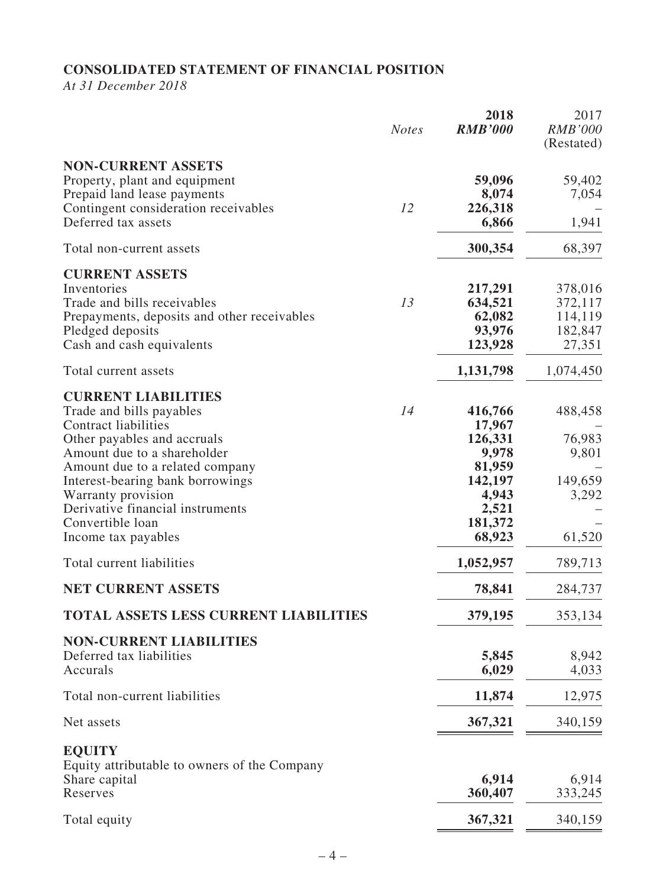# **CONSOLIDATED STATEMENT OF FINANCIAL POSITION**

*At 31 December 2018*

|                                                                                                                                                                                                                                                                                                                                                              | <b>Notes</b> | 2018<br><b>RMB'000</b>                                                                                         | 2017<br><b>RMB'000</b><br>(Restated)                                |
|--------------------------------------------------------------------------------------------------------------------------------------------------------------------------------------------------------------------------------------------------------------------------------------------------------------------------------------------------------------|--------------|----------------------------------------------------------------------------------------------------------------|---------------------------------------------------------------------|
| <b>NON-CURRENT ASSETS</b><br>Property, plant and equipment<br>Prepaid land lease payments<br>Contingent consideration receivables<br>Deferred tax assets                                                                                                                                                                                                     | 12           | 59,096<br>8,074<br>226,318<br>6,866                                                                            | 59,402<br>7,054<br>1,941                                            |
|                                                                                                                                                                                                                                                                                                                                                              |              | 300,354                                                                                                        | 68,397                                                              |
| Total non-current assets                                                                                                                                                                                                                                                                                                                                     |              |                                                                                                                |                                                                     |
| <b>CURRENT ASSETS</b><br>Inventories<br>Trade and bills receivables<br>Prepayments, deposits and other receivables<br>Pledged deposits<br>Cash and cash equivalents                                                                                                                                                                                          | 13           | 217,291<br>634,521<br>62,082<br>93,976<br>123,928                                                              | 378,016<br>372,117<br>114,119<br>182,847<br>27,351                  |
| Total current assets                                                                                                                                                                                                                                                                                                                                         |              | 1,131,798                                                                                                      | 1,074,450                                                           |
| <b>CURRENT LIABILITIES</b><br>Trade and bills payables<br><b>Contract liabilities</b><br>Other payables and accruals<br>Amount due to a shareholder<br>Amount due to a related company<br>Interest-bearing bank borrowings<br>Warranty provision<br>Derivative financial instruments<br>Convertible loan<br>Income tax payables<br>Total current liabilities | 14           | 416,766<br>17,967<br>126,331<br>9,978<br>81,959<br>142,197<br>4,943<br>2,521<br>181,372<br>68,923<br>1,052,957 | 488,458<br>76,983<br>9,801<br>149,659<br>3,292<br>61,520<br>789,713 |
| <b>NET CURRENT ASSETS</b>                                                                                                                                                                                                                                                                                                                                    |              | 78,841                                                                                                         | 284,737                                                             |
| <b>TOTAL ASSETS LESS CURRENT LIABILITIES</b>                                                                                                                                                                                                                                                                                                                 |              | 379,195                                                                                                        | 353,134                                                             |
| <b>NON-CURRENT LIABILITIES</b><br>Deferred tax liabilities<br>Accurals                                                                                                                                                                                                                                                                                       |              | 5,845<br>6,029                                                                                                 | 8,942<br>4,033                                                      |
| Total non-current liabilities                                                                                                                                                                                                                                                                                                                                |              | 11,874                                                                                                         | 12,975                                                              |
| Net assets                                                                                                                                                                                                                                                                                                                                                   |              | 367,321                                                                                                        | 340,159                                                             |
| <b>EQUITY</b><br>Equity attributable to owners of the Company<br>Share capital<br>Reserves                                                                                                                                                                                                                                                                   |              | 6,914<br>360,407                                                                                               | 6,914<br>333,245                                                    |
| Total equity                                                                                                                                                                                                                                                                                                                                                 |              | 367,321                                                                                                        | 340,159                                                             |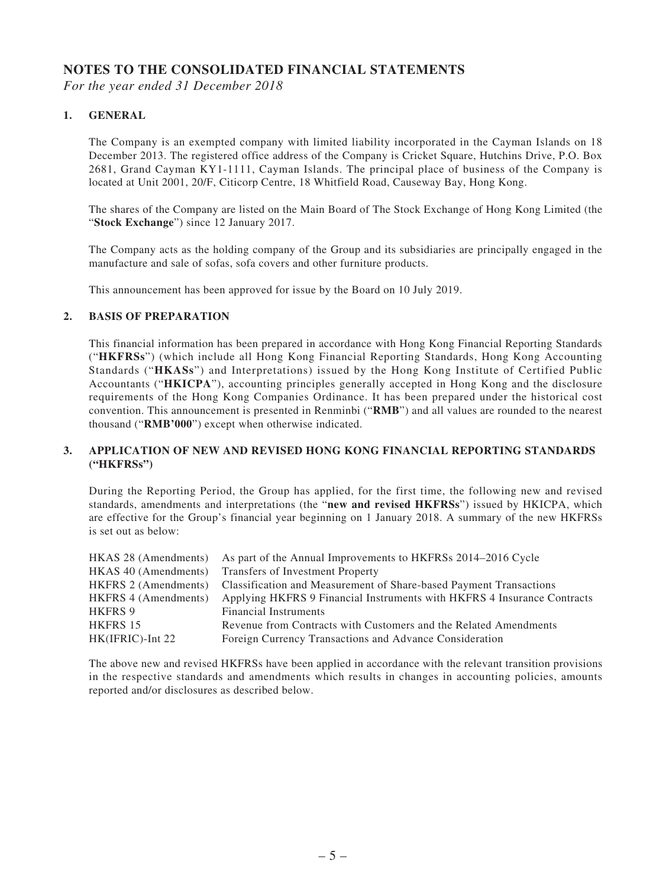#### **NOTES TO THE CONSOLIDATED FINANCIAL STATEMENTS**

*For the year ended 31 December 2018*

#### **1. GENERAL**

The Company is an exempted company with limited liability incorporated in the Cayman Islands on 18 December 2013. The registered office address of the Company is Cricket Square, Hutchins Drive, P.O. Box 2681, Grand Cayman KY1-1111, Cayman Islands. The principal place of business of the Company is located at Unit 2001, 20/F, Citicorp Centre, 18 Whitfield Road, Causeway Bay, Hong Kong.

The shares of the Company are listed on the Main Board of The Stock Exchange of Hong Kong Limited (the "**Stock Exchange**") since 12 January 2017.

The Company acts as the holding company of the Group and its subsidiaries are principally engaged in the manufacture and sale of sofas, sofa covers and other furniture products.

This announcement has been approved for issue by the Board on 10 July 2019.

#### **2. BASIS OF PREPARATION**

This financial information has been prepared in accordance with Hong Kong Financial Reporting Standards ("**HKFRSs**") (which include all Hong Kong Financial Reporting Standards, Hong Kong Accounting Standards ("**HKASs**") and Interpretations) issued by the Hong Kong Institute of Certified Public Accountants ("**HKICPA**"), accounting principles generally accepted in Hong Kong and the disclosure requirements of the Hong Kong Companies Ordinance. It has been prepared under the historical cost convention. This announcement is presented in Renminbi ("**RMB**") and all values are rounded to the nearest thousand ("**RMB'000**") except when otherwise indicated.

#### **3. APPLICATION OF NEW AND REVISED HONG KONG FINANCIAL REPORTING STANDARDS ("HKFRSs")**

During the Reporting Period, the Group has applied, for the first time, the following new and revised standards, amendments and interpretations (the "**new and revised HKFRSs**") issued by HKICPA, which are effective for the Group's financial year beginning on 1 January 2018. A summary of the new HKFRSs is set out as below:

|                             | HKAS 28 (Amendments) As part of the Annual Improvements to HKFRSs 2014–2016 Cycle |
|-----------------------------|-----------------------------------------------------------------------------------|
| HKAS 40 (Amendments)        | <b>Transfers of Investment Property</b>                                           |
| <b>HKFRS</b> 2 (Amendments) | <b>Classification and Measurement of Share-based Payment Transactions</b>         |
| <b>HKFRS 4 (Amendments)</b> | Applying HKFRS 9 Financial Instruments with HKFRS 4 Insurance Contracts           |
| <b>HKFRS 9</b>              | <b>Financial Instruments</b>                                                      |
| HKFRS 15                    | Revenue from Contracts with Customers and the Related Amendments                  |
| $HK(IFRIC)$ -Int 22         | Foreign Currency Transactions and Advance Consideration                           |

The above new and revised HKFRSs have been applied in accordance with the relevant transition provisions in the respective standards and amendments which results in changes in accounting policies, amounts reported and/or disclosures as described below.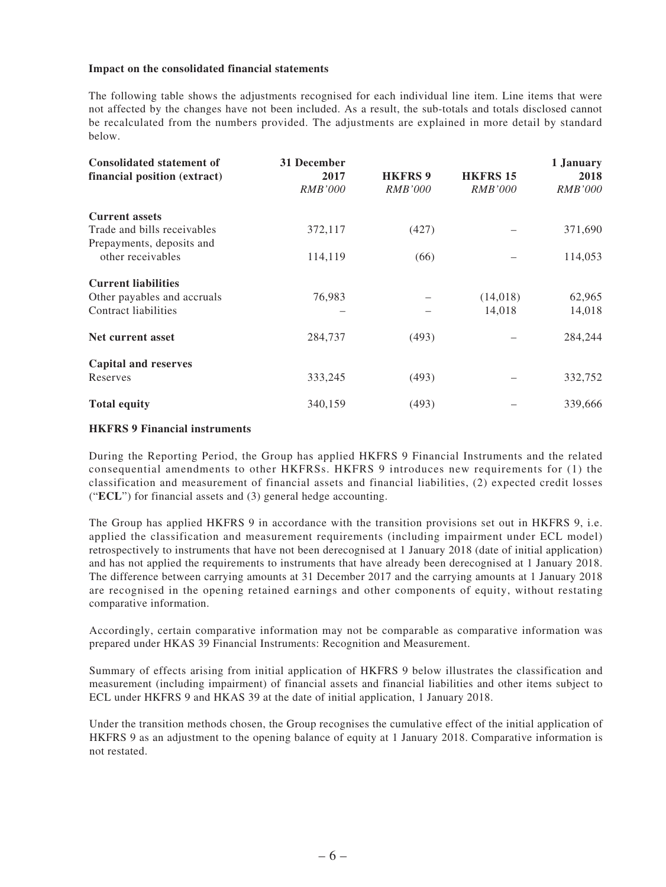#### **Impact on the consolidated financial statements**

The following table shows the adjustments recognised for each individual line item. Line items that were not affected by the changes have not been included. As a result, the sub-totals and totals disclosed cannot be recalculated from the numbers provided. The adjustments are explained in more detail by standard below.

| <b>Consolidated statement of</b><br>financial position (extract) | 31 December<br>2017<br><i>RMB'000</i> | <b>HKFRS 9</b><br><i>RMB'000</i> | <b>HKFRS 15</b><br><i>RMB'000</i> | 1 January<br>2018<br><i>RMB'000</i> |
|------------------------------------------------------------------|---------------------------------------|----------------------------------|-----------------------------------|-------------------------------------|
| <b>Current assets</b>                                            |                                       |                                  |                                   |                                     |
|                                                                  |                                       |                                  |                                   |                                     |
| Trade and bills receivables                                      | 372,117                               | (427)                            |                                   | 371,690                             |
| Prepayments, deposits and                                        |                                       |                                  |                                   |                                     |
| other receivables                                                | 114,119                               | (66)                             |                                   | 114,053                             |
| <b>Current liabilities</b>                                       |                                       |                                  |                                   |                                     |
| Other payables and accruals                                      | 76,983                                |                                  | (14,018)                          | 62,965                              |
| Contract liabilities                                             |                                       |                                  | 14,018                            | 14,018                              |
|                                                                  |                                       |                                  |                                   |                                     |
| Net current asset                                                | 284,737                               | (493)                            |                                   | 284,244                             |
| <b>Capital and reserves</b>                                      |                                       |                                  |                                   |                                     |
|                                                                  |                                       |                                  |                                   |                                     |
| Reserves                                                         | 333,245                               | (493)                            |                                   | 332,752                             |
| <b>Total equity</b>                                              | 340,159                               | (493)                            |                                   | 339,666                             |

#### **HKFRS 9 Financial instruments**

During the Reporting Period, the Group has applied HKFRS 9 Financial Instruments and the related consequential amendments to other HKFRSs. HKFRS 9 introduces new requirements for (1) the classification and measurement of financial assets and financial liabilities, (2) expected credit losses ("**ECL**") for financial assets and (3) general hedge accounting.

The Group has applied HKFRS 9 in accordance with the transition provisions set out in HKFRS 9, i.e. applied the classification and measurement requirements (including impairment under ECL model) retrospectively to instruments that have not been derecognised at 1 January 2018 (date of initial application) and has not applied the requirements to instruments that have already been derecognised at 1 January 2018. The difference between carrying amounts at 31 December 2017 and the carrying amounts at 1 January 2018 are recognised in the opening retained earnings and other components of equity, without restating comparative information.

Accordingly, certain comparative information may not be comparable as comparative information was prepared under HKAS 39 Financial Instruments: Recognition and Measurement.

Summary of effects arising from initial application of HKFRS 9 below illustrates the classification and measurement (including impairment) of financial assets and financial liabilities and other items subject to ECL under HKFRS 9 and HKAS 39 at the date of initial application, 1 January 2018.

Under the transition methods chosen, the Group recognises the cumulative effect of the initial application of HKFRS 9 as an adjustment to the opening balance of equity at 1 January 2018. Comparative information is not restated.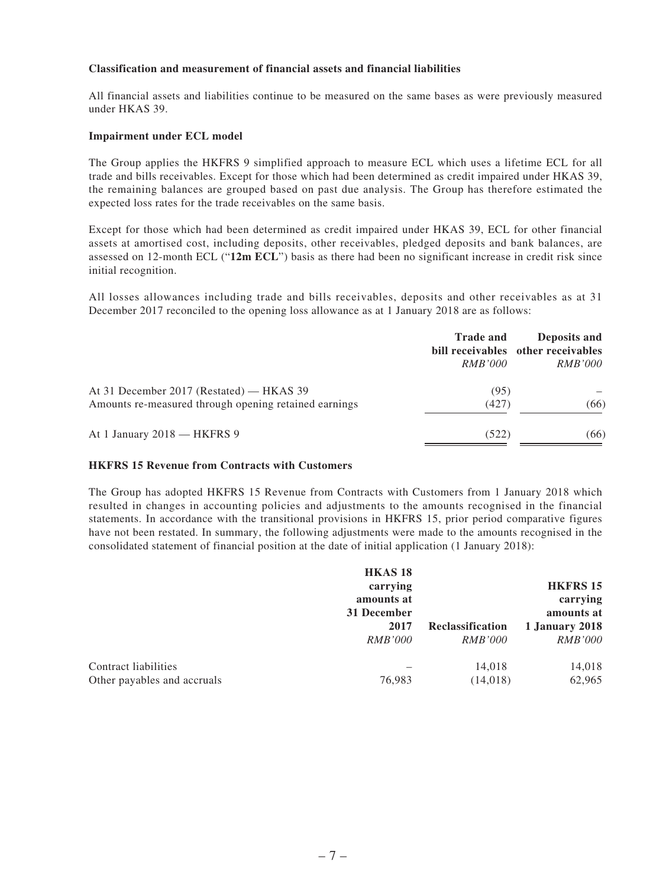#### **Classification and measurement of financial assets and financial liabilities**

All financial assets and liabilities continue to be measured on the same bases as were previously measured under HKAS 39.

#### **Impairment under ECL model**

The Group applies the HKFRS 9 simplified approach to measure ECL which uses a lifetime ECL for all trade and bills receivables. Except for those which had been determined as credit impaired under HKAS 39, the remaining balances are grouped based on past due analysis. The Group has therefore estimated the expected loss rates for the trade receivables on the same basis.

Except for those which had been determined as credit impaired under HKAS 39, ECL for other financial assets at amortised cost, including deposits, other receivables, pledged deposits and bank balances, are assessed on 12-month ECL ("**12m ECL**") basis as there had been no significant increase in credit risk since initial recognition.

All losses allowances including trade and bills receivables, deposits and other receivables as at 31 December 2017 reconciled to the opening loss allowance as at 1 January 2018 are as follows:

|                                                                                                   | <b>Trade and</b><br><i>RMB'000</i> | Deposits and<br>bill receivables other receivables<br><i>RMB'000</i> |
|---------------------------------------------------------------------------------------------------|------------------------------------|----------------------------------------------------------------------|
| At 31 December 2017 (Restated) — HKAS 39<br>Amounts re-measured through opening retained earnings | (95)<br>(427)                      | (66)                                                                 |
| At 1 January 2018 - HKFRS 9                                                                       | (522)                              | (66)                                                                 |

#### **HKFRS 15 Revenue from Contracts with Customers**

The Group has adopted HKFRS 15 Revenue from Contracts with Customers from 1 January 2018 which resulted in changes in accounting policies and adjustments to the amounts recognised in the financial statements. In accordance with the transitional provisions in HKFRS 15, prior period comparative figures have not been restated. In summary, the following adjustments were made to the amounts recognised in the consolidated statement of financial position at the date of initial application (1 January 2018):

|                             | <b>HKAS18</b>  |                  |                 |
|-----------------------------|----------------|------------------|-----------------|
|                             | carrying       |                  | <b>HKFRS 15</b> |
|                             | amounts at     |                  | carrying        |
|                             | 31 December    |                  | amounts at      |
|                             | 2017           | Reclassification | 1 January 2018  |
|                             | <i>RMB'000</i> | <i>RMB'000</i>   | <i>RMB'000</i>  |
| Contract liabilities        |                | 14,018           | 14,018          |
| Other payables and accruals | 76,983         | (14, 018)        | 62,965          |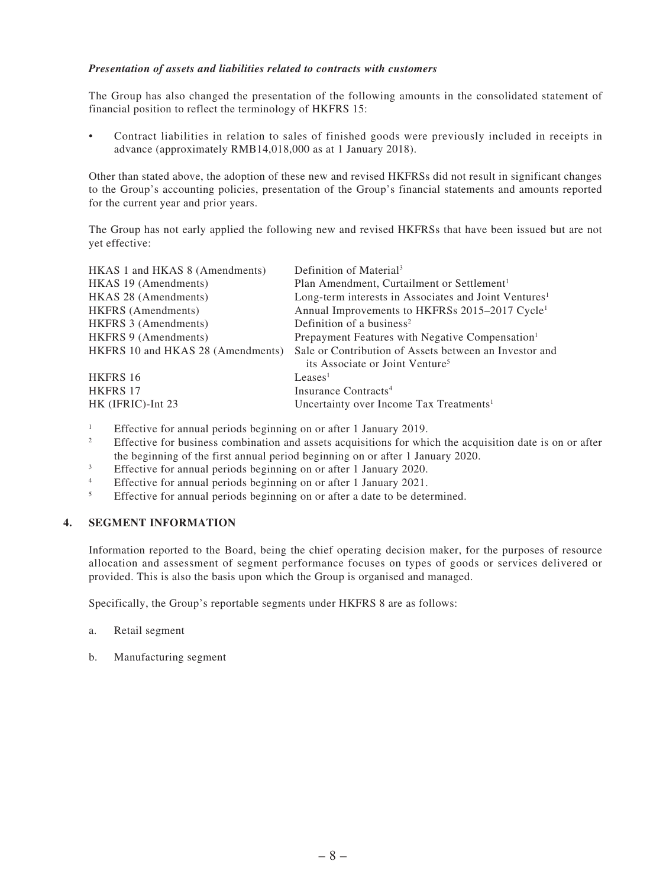#### *Presentation of assets and liabilities related to contracts with customers*

The Group has also changed the presentation of the following amounts in the consolidated statement of financial position to reflect the terminology of HKFRS 15:

Contract liabilities in relation to sales of finished goods were previously included in receipts in advance (approximately RMB14,018,000 as at 1 January 2018).

Other than stated above, the adoption of these new and revised HKFRSs did not result in significant changes to the Group's accounting policies, presentation of the Group's financial statements and amounts reported for the current year and prior years.

The Group has not early applied the following new and revised HKFRSs that have been issued but are not yet effective:

| HKAS 1 and HKAS 8 (Amendments)    | Definition of Material <sup>3</sup>                               |
|-----------------------------------|-------------------------------------------------------------------|
| HKAS 19 (Amendments)              | Plan Amendment, Curtailment or Settlement <sup>1</sup>            |
| HKAS 28 (Amendments)              | Long-term interests in Associates and Joint Ventures <sup>1</sup> |
| <b>HKFRS</b> (Amendments)         | Annual Improvements to HKFRSs 2015-2017 Cycle <sup>1</sup>        |
| HKFRS 3 (Amendments)              | Definition of a business <sup>2</sup>                             |
| <b>HKFRS</b> 9 (Amendments)       | Prepayment Features with Negative Compensation <sup>1</sup>       |
| HKFRS 10 and HKAS 28 (Amendments) | Sale or Contribution of Assets between an Investor and            |
|                                   | its Associate or Joint Venture <sup>5</sup>                       |
| HKFRS 16                          | Leases <sup>1</sup>                                               |
| HKFRS 17                          | Insurance Contracts <sup>4</sup>                                  |
| HK (IFRIC)-Int 23                 | Uncertainty over Income Tax Treatments <sup>1</sup>               |

1 Effective for annual periods beginning on or after 1 January 2019.

- 2 Effective for business combination and assets acquisitions for which the acquisition date is on or after the beginning of the first annual period beginning on or after 1 January 2020.
- 3 Effective for annual periods beginning on or after 1 January 2020.
- 4 Effective for annual periods beginning on or after 1 January 2021.
- 5 Effective for annual periods beginning on or after a date to be determined.

#### **4. SEGMENT INFORMATION**

Information reported to the Board, being the chief operating decision maker, for the purposes of resource allocation and assessment of segment performance focuses on types of goods or services delivered or provided. This is also the basis upon which the Group is organised and managed.

Specifically, the Group's reportable segments under HKFRS 8 are as follows:

- a. Retail segment
- b. Manufacturing segment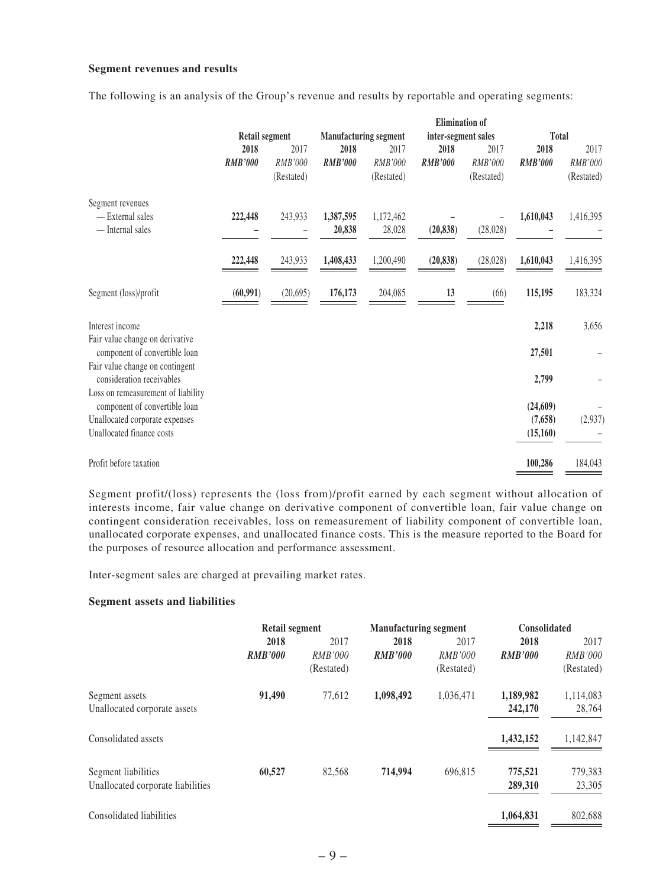#### **Segment revenues and results**

The following is an analysis of the Group's revenue and results by reportable and operating segments:

|                                                                     |                |            |                              |            | <b>Elimination</b> of |            |                |            |
|---------------------------------------------------------------------|----------------|------------|------------------------------|------------|-----------------------|------------|----------------|------------|
|                                                                     | Retail segment |            | <b>Manufacturing segment</b> |            | inter-segment sales   |            | Total          |            |
|                                                                     | 2018           | 2017       | 2018                         | 2017       | 2018                  | 2017       | 2018           | 2017       |
|                                                                     | <b>RMB'000</b> | RMB'000    | <b>RMB'000</b>               | RMB'000    | <b>RMB'000</b>        | RMB'000    | <b>RMB'000</b> | RMB'000    |
|                                                                     |                | (Restated) |                              | (Restated) |                       | (Restated) |                | (Restated) |
| Segment revenues                                                    |                |            |                              |            |                       |            |                |            |
| - External sales                                                    | 222,448        | 243,933    | 1,387,595                    | 1,172,462  |                       |            | 1,610,043      | 1,416,395  |
| - Internal sales                                                    |                |            | 20,838                       | 28,028     | (20, 838)             | (28, 028)  |                |            |
|                                                                     | 222,448        | 243,933    | 1,408,433                    | 1,200,490  | (20, 838)             | (28,028)   | 1,610,043      | 1,416,395  |
| Segment (loss)/profit                                               | (60, 991)      | (20, 695)  | 176,173                      | 204,085    | 13                    | (66)       | 115,195        | 183,324    |
| Interest income                                                     |                |            |                              |            |                       |            | 2,218          | 3,656      |
| Fair value change on derivative<br>component of convertible loan    |                |            |                              |            |                       |            | 27,501         |            |
| Fair value change on contingent<br>consideration receivables        |                |            |                              |            |                       |            | 2,799          |            |
| Loss on remeasurement of liability<br>component of convertible loan |                |            |                              |            |                       |            | (24, 609)      |            |
| Unallocated corporate expenses                                      |                |            |                              |            |                       |            | (7,658)        | (2,937)    |
| Unallocated finance costs                                           |                |            |                              |            |                       |            | (15,160)       |            |
| Profit before taxation                                              |                |            |                              |            |                       |            | 100,286        | 184,043    |

Segment profit/(loss) represents the (loss from)/profit earned by each segment without allocation of interests income, fair value change on derivative component of convertible loan, fair value change on contingent consideration receivables, loss on remeasurement of liability component of convertible loan, unallocated corporate expenses, and unallocated finance costs. This is the measure reported to the Board for the purposes of resource allocation and performance assessment.

Inter-segment sales are charged at prevailing market rates.

#### **Segment assets and liabilities**

|                                   | Retail segment |                | <b>Manufacturing segment</b> |                | <b>Consolidated</b> |                |      |      |  |
|-----------------------------------|----------------|----------------|------------------------------|----------------|---------------------|----------------|------|------|--|
|                                   | 2018           |                | 2017                         |                | 2018<br>2017        |                | 2018 | 2017 |  |
|                                   | <b>RMB'000</b> | <b>RMB'000</b> | <b>RMB'000</b>               | <b>RMB'000</b> | <b>RMB'000</b>      | <b>RMB'000</b> |      |      |  |
|                                   |                | (Restated)     |                              | (Restated)     |                     | (Restated)     |      |      |  |
| Segment assets                    | 91,490         | 77,612         | 1,098,492                    | 1,036,471      | 1,189,982           | 1,114,083      |      |      |  |
| Unallocated corporate assets      |                |                |                              |                | 242,170             | 28,764         |      |      |  |
| Consolidated assets               |                |                |                              |                | 1,432,152           | 1,142,847      |      |      |  |
| Segment liabilities               | 60,527         | 82,568         | 714,994                      | 696,815        | 775,521             | 779,383        |      |      |  |
| Unallocated corporate liabilities |                |                |                              |                | 289,310             | 23,305         |      |      |  |
| Consolidated liabilities          |                |                |                              |                | 1,064,831           | 802,688        |      |      |  |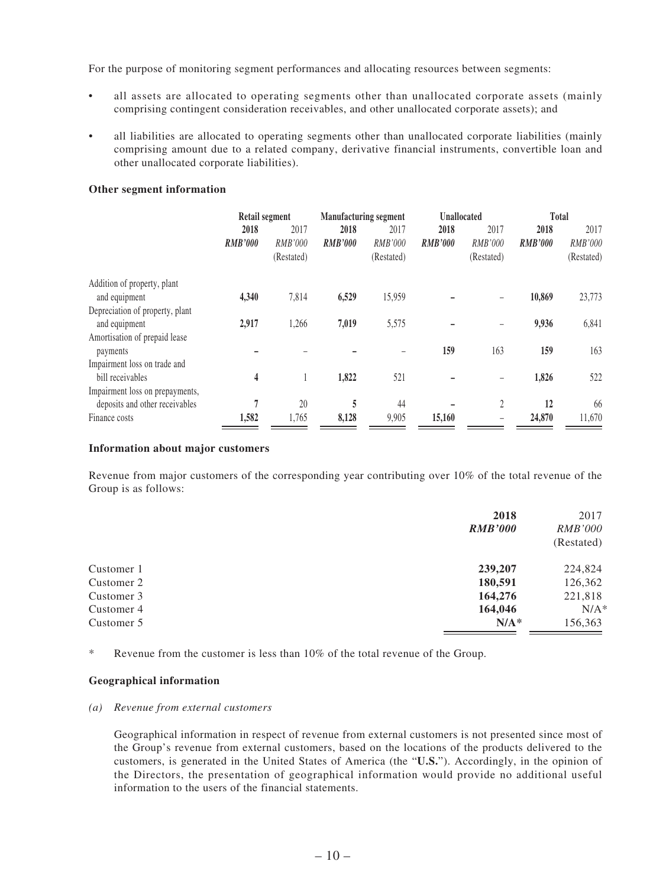For the purpose of monitoring segment performances and allocating resources between segments:

- all assets are allocated to operating segments other than unallocated corporate assets (mainly comprising contingent consideration receivables, and other unallocated corporate assets); and
- all liabilities are allocated to operating segments other than unallocated corporate liabilities (mainly comprising amount due to a related company, derivative financial instruments, convertible loan and other unallocated corporate liabilities).

#### **Other segment information**

|                                 | Retail segment |                |                | <b>Manufacturing segment</b> |                | <b>Unallocated</b> |                | <b>Total</b>   |  |
|---------------------------------|----------------|----------------|----------------|------------------------------|----------------|--------------------|----------------|----------------|--|
|                                 | 2018           | 2017           | 2018           | 2017                         | 2018           | 2017               | 2018           | 2017           |  |
|                                 | <b>RMB'000</b> | <b>RMB'000</b> | <b>RMB'000</b> | RMB'000                      | <b>RMB'000</b> | <i>RMB'000</i>     | <b>RMB'000</b> | <i>RMB'000</i> |  |
|                                 |                | (Restated)     |                | (Restated)                   |                | (Restated)         |                | (Restated)     |  |
| Addition of property, plant     |                |                |                |                              |                |                    |                |                |  |
| and equipment                   | 4,340          | 7,814          | 6,529          | 15,959                       |                |                    | 10,869         | 23,773         |  |
| Depreciation of property, plant |                |                |                |                              |                |                    |                |                |  |
| and equipment                   | 2,917          | 1,266          | 7,019          | 5,575                        |                |                    | 9,936          | 6,841          |  |
| Amortisation of prepaid lease   |                |                |                |                              |                |                    |                |                |  |
| payments                        |                |                |                |                              | 159            | 163                | 159            | 163            |  |
| Impairment loss on trade and    |                |                |                |                              |                |                    |                |                |  |
| bill receivables                | 4              |                | 1,822          | 521                          |                |                    | 1,826          | 522            |  |
| Impairment loss on prepayments, |                |                |                |                              |                |                    |                |                |  |
| deposits and other receivables  | 7              | 20             | 5              | 44                           |                | 2                  | 12             | 66             |  |
| Finance costs                   | 1,582          | 1,765          | 8,128          | 9,905                        | 15,160         |                    | 24,870         | 11,670         |  |

#### **Information about major customers**

Revenue from major customers of the corresponding year contributing over 10% of the total revenue of the Group is as follows:

|            | 2018<br><b>RMB'000</b> | 2017<br><i>RMB'000</i><br>(Restated) |
|------------|------------------------|--------------------------------------|
| Customer 1 | 239,207                | 224,824                              |
| Customer 2 | 180,591                | 126,362                              |
| Customer 3 | 164,276                | 221,818                              |
| Customer 4 | 164,046                | $N/A^*$                              |
| Customer 5 | $N/A^*$                | 156,363                              |
|            |                        |                                      |

\* Revenue from the customer is less than 10% of the total revenue of the Group.

#### **Geographical information**

#### *(a) Revenue from external customers*

Geographical information in respect of revenue from external customers is not presented since most of the Group's revenue from external customers, based on the locations of the products delivered to the customers, is generated in the United States of America (the "**U.S.**"). Accordingly, in the opinion of the Directors, the presentation of geographical information would provide no additional useful information to the users of the financial statements.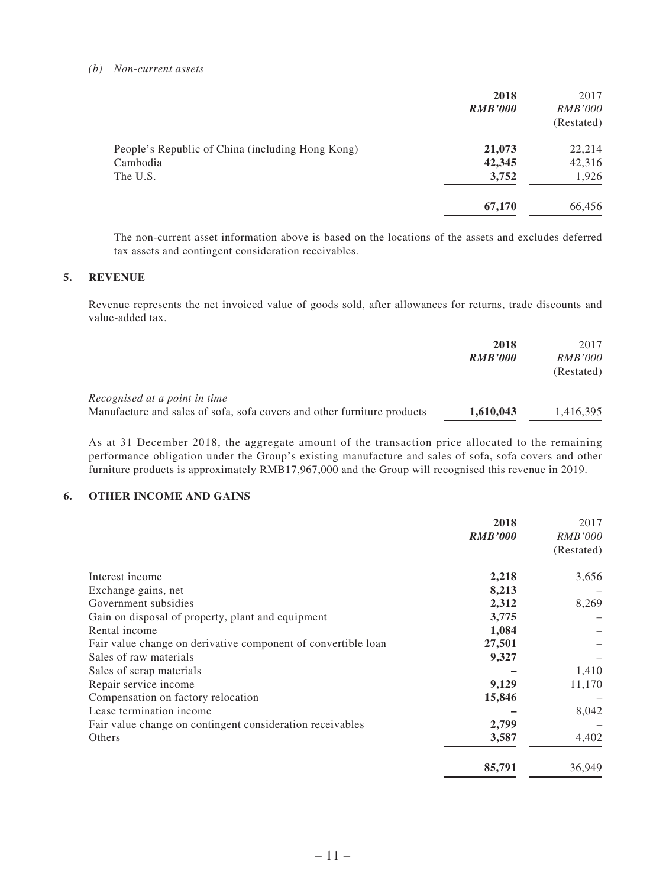#### *(b) Non-current assets*

|                                                  | 2018           | 2017           |
|--------------------------------------------------|----------------|----------------|
|                                                  | <b>RMB'000</b> | <i>RMB'000</i> |
|                                                  |                | (Restated)     |
| People's Republic of China (including Hong Kong) | 21,073         | 22,214         |
| Cambodia                                         | 42,345         | 42,316         |
| The U.S.                                         | 3,752          | 1,926          |
|                                                  | 67,170         | 66,456         |
|                                                  |                |                |

The non-current asset information above is based on the locations of the assets and excludes deferred tax assets and contingent consideration receivables.

#### **5. REVENUE**

Revenue represents the net invoiced value of goods sold, after allowances for returns, trade discounts and value-added tax.

| 2018           | 2017           |
|----------------|----------------|
| <b>RMB'000</b> | <i>RMB'000</i> |
|                | (Restated)     |
|                |                |
| 1,610,043      | 1,416,395      |
|                |                |

As at 31 December 2018, the aggregate amount of the transaction price allocated to the remaining performance obligation under the Group's existing manufacture and sales of sofa, sofa covers and other furniture products is approximately RMB17,967,000 and the Group will recognised this revenue in 2019.

#### **6. OTHER INCOME AND GAINS**

|                                                               | 2018           | 2017           |
|---------------------------------------------------------------|----------------|----------------|
|                                                               | <b>RMB'000</b> | <i>RMB'000</i> |
|                                                               |                | (Restated)     |
| Interest income                                               | 2,218          | 3,656          |
| Exchange gains, net                                           | 8,213          |                |
| Government subsidies                                          | 2,312          | 8,269          |
| Gain on disposal of property, plant and equipment             | 3,775          |                |
| Rental income                                                 | 1,084          |                |
| Fair value change on derivative component of convertible loan | 27,501         |                |
| Sales of raw materials                                        | 9,327          |                |
| Sales of scrap materials                                      |                | 1,410          |
| Repair service income                                         | 9,129          | 11,170         |
| Compensation on factory relocation                            | 15,846         |                |
| Lease termination income                                      |                | 8,042          |
| Fair value change on contingent consideration receivables     | 2,799          |                |
| Others                                                        | 3,587          | 4,402          |
|                                                               | 85,791         | 36,949         |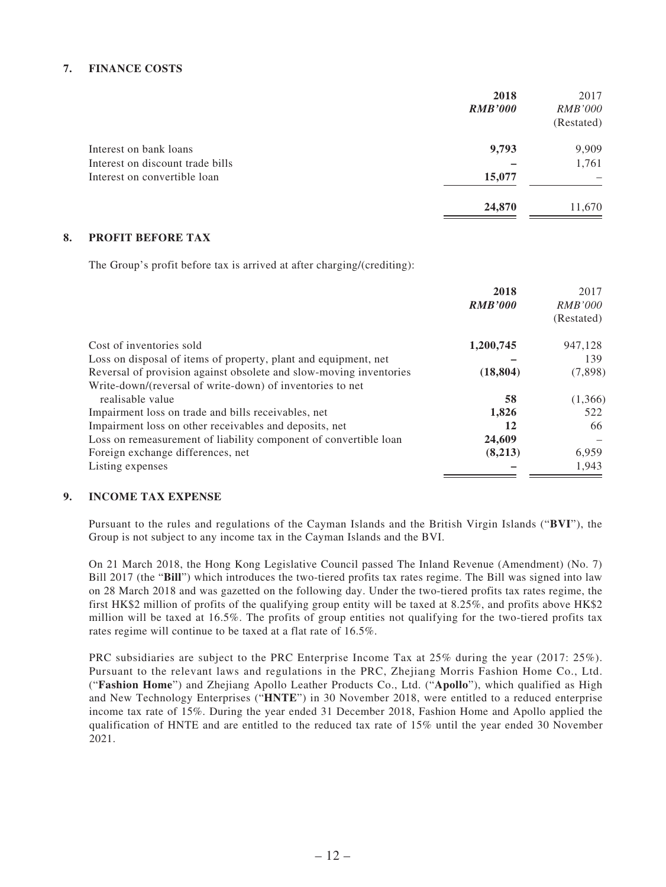#### **7. FINANCE COSTS**

|                                  | 2018           | 2017           |
|----------------------------------|----------------|----------------|
|                                  | <b>RMB'000</b> | <i>RMB'000</i> |
|                                  |                | (Restated)     |
| Interest on bank loans           | 9,793          | 9,909          |
| Interest on discount trade bills |                | 1,761          |
| Interest on convertible loan     | 15,077         |                |
|                                  | 24,870         | 11,670         |

#### **8. PROFIT BEFORE TAX**

The Group's profit before tax is arrived at after charging/(crediting):

|                                                                    | 2018           | 2017<br><i>RMB'000</i> |
|--------------------------------------------------------------------|----------------|------------------------|
|                                                                    | <b>RMB'000</b> | (Restated)             |
| Cost of inventories sold                                           | 1,200,745      | 947,128                |
| Loss on disposal of items of property, plant and equipment, net    |                | 139                    |
| Reversal of provision against obsolete and slow-moving inventories | (18, 804)      | (7,898)                |
| Write-down/(reversal of write-down) of inventories to net          |                |                        |
| realisable value                                                   | 58             | (1,366)                |
| Impairment loss on trade and bills receivables, net                | 1,826          | 522                    |
| Impairment loss on other receivables and deposits, net             | 12             | 66                     |
| Loss on remeasurement of liability component of convertible loan   | 24,609         |                        |
| Foreign exchange differences, net                                  | (8,213)        | 6,959                  |
| Listing expenses                                                   |                | 1,943                  |

#### **9. INCOME TAX EXPENSE**

Pursuant to the rules and regulations of the Cayman Islands and the British Virgin Islands ("**BVI**"), the Group is not subject to any income tax in the Cayman Islands and the BVI.

On 21 March 2018, the Hong Kong Legislative Council passed The Inland Revenue (Amendment) (No. 7) Bill 2017 (the "**Bill**") which introduces the two-tiered profits tax rates regime. The Bill was signed into law on 28 March 2018 and was gazetted on the following day. Under the two-tiered profits tax rates regime, the first HK\$2 million of profits of the qualifying group entity will be taxed at 8.25%, and profits above HK\$2 million will be taxed at 16.5%. The profits of group entities not qualifying for the two-tiered profits tax rates regime will continue to be taxed at a flat rate of 16.5%.

PRC subsidiaries are subject to the PRC Enterprise Income Tax at 25% during the year (2017: 25%). Pursuant to the relevant laws and regulations in the PRC, Zhejiang Morris Fashion Home Co., Ltd. ("**Fashion Home**") and Zhejiang Apollo Leather Products Co., Ltd. ("**Apollo**"), which qualified as High and New Technology Enterprises ("**HNTE**") in 30 November 2018, were entitled to a reduced enterprise income tax rate of 15%. During the year ended 31 December 2018, Fashion Home and Apollo applied the qualification of HNTE and are entitled to the reduced tax rate of 15% until the year ended 30 November 2021.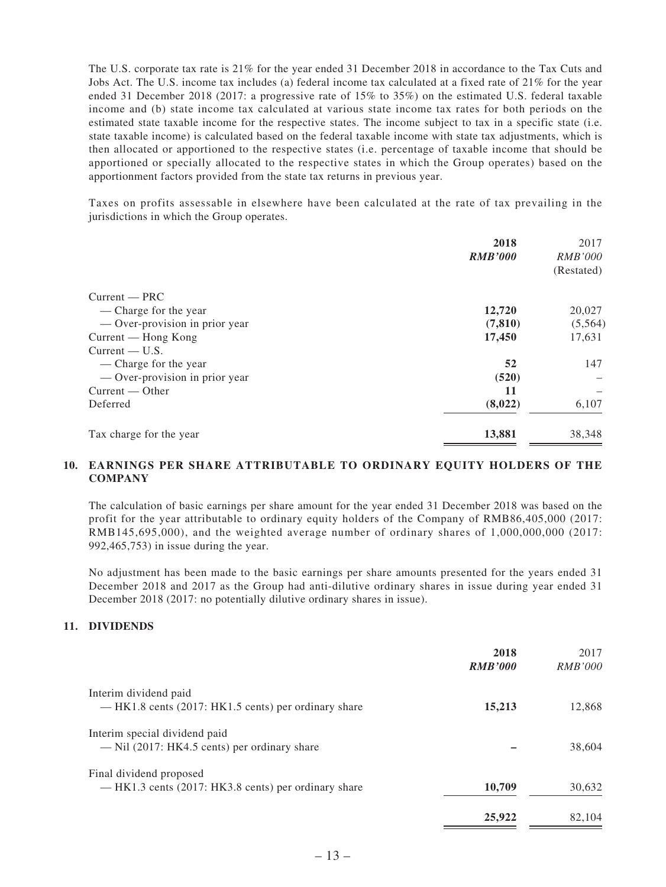The U.S. corporate tax rate is 21% for the year ended 31 December 2018 in accordance to the Tax Cuts and Jobs Act. The U.S. income tax includes (a) federal income tax calculated at a fixed rate of 21% for the year ended 31 December 2018 (2017: a progressive rate of 15% to 35%) on the estimated U.S. federal taxable income and (b) state income tax calculated at various state income tax rates for both periods on the estimated state taxable income for the respective states. The income subject to tax in a specific state (i.e. state taxable income) is calculated based on the federal taxable income with state tax adjustments, which is then allocated or apportioned to the respective states (i.e. percentage of taxable income that should be apportioned or specially allocated to the respective states in which the Group operates) based on the apportionment factors provided from the state tax returns in previous year.

Taxes on profits assessable in elsewhere have been calculated at the rate of tax prevailing in the jurisdictions in which the Group operates.

|                                | 2018<br><b>RMB'000</b> | 2017<br><b>RMB'000</b><br>(Restated) |
|--------------------------------|------------------------|--------------------------------------|
| $Current - PRC$                |                        |                                      |
| — Charge for the year          | 12,720                 | 20,027                               |
| — Over-provision in prior year | (7, 810)               | (5,564)                              |
| Current — Hong Kong            | 17,450                 | 17,631                               |
| $Current - U.S.$               |                        |                                      |
| — Charge for the year          | 52                     | 147                                  |
| - Over-provision in prior year | (520)                  |                                      |
| Current — Other                | 11                     |                                      |
| Deferred                       | (8,022)                | 6,107                                |
| Tax charge for the year        | 13,881                 | 38,348                               |

#### **10. EARNINGS PER SHARE ATTRIBUTABLE TO ORDINARY EQUITY HOLDERS OF THE COMPANY**

The calculation of basic earnings per share amount for the year ended 31 December 2018 was based on the profit for the year attributable to ordinary equity holders of the Company of RMB86,405,000 (2017: RMB145,695,000), and the weighted average number of ordinary shares of 1,000,000,000 (2017: 992,465,753) in issue during the year.

No adjustment has been made to the basic earnings per share amounts presented for the years ended 31 December 2018 and 2017 as the Group had anti-dilutive ordinary shares in issue during year ended 31 December 2018 (2017: no potentially dilutive ordinary shares in issue).

#### **11. DIVIDENDS**

|                                                                                 | 2018<br><b>RMB'000</b> | 2017<br><i>RMB'000</i> |
|---------------------------------------------------------------------------------|------------------------|------------------------|
| Interim dividend paid<br>— HK1.8 cents (2017: HK1.5 cents) per ordinary share   | 15,213                 | 12,868                 |
| Interim special dividend paid<br>$-$ Nil (2017: HK4.5 cents) per ordinary share |                        | 38,604                 |
| Final dividend proposed<br>— HK1.3 cents (2017: HK3.8 cents) per ordinary share | 10,709                 | 30,632                 |
|                                                                                 | 25,922                 | 82,104                 |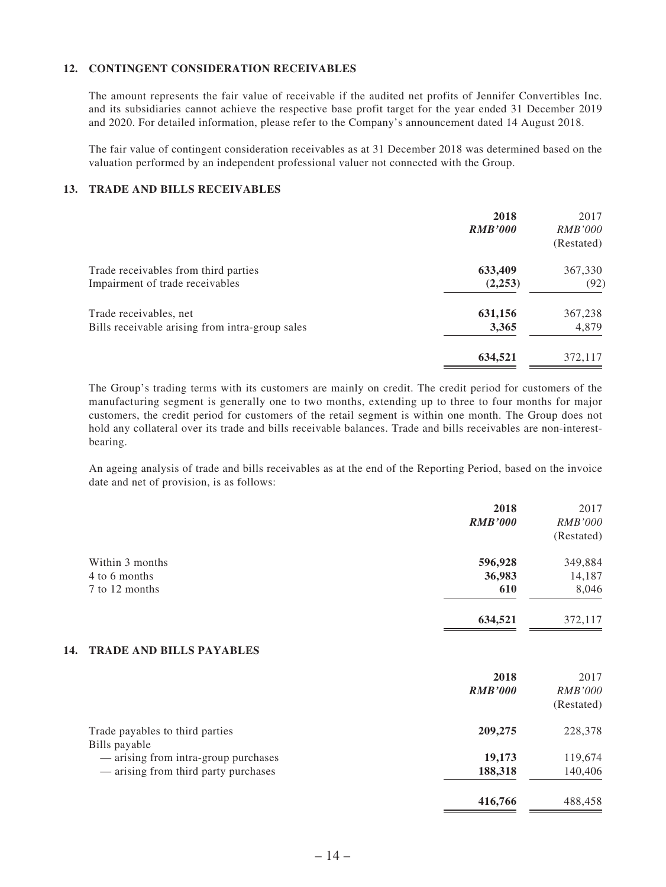#### **12. CONTINGENT CONSIDERATION RECEIVABLES**

The amount represents the fair value of receivable if the audited net profits of Jennifer Convertibles Inc. and its subsidiaries cannot achieve the respective base profit target for the year ended 31 December 2019 and 2020. For detailed information, please refer to the Company's announcement dated 14 August 2018.

The fair value of contingent consideration receivables as at 31 December 2018 was determined based on the valuation performed by an independent professional valuer not connected with the Group.

#### **13. TRADE AND BILLS RECEIVABLES**

|                                                 | 2018<br><b>RMB'000</b> | 2017<br><i>RMB'000</i><br>(Restated) |
|-------------------------------------------------|------------------------|--------------------------------------|
| Trade receivables from third parties            | 633,409                | 367,330                              |
| Impairment of trade receivables                 | (2,253)                | (92)                                 |
| Trade receivables, net                          | 631,156                | 367,238                              |
| Bills receivable arising from intra-group sales | 3,365                  | 4,879                                |
|                                                 | 634,521                | 372,117                              |

The Group's trading terms with its customers are mainly on credit. The credit period for customers of the manufacturing segment is generally one to two months, extending up to three to four months for major customers, the credit period for customers of the retail segment is within one month. The Group does not hold any collateral over its trade and bills receivable balances. Trade and bills receivables are non-interestbearing.

An ageing analysis of trade and bills receivables as at the end of the Reporting Period, based on the invoice date and net of provision, is as follows:

|                                                  | 2018<br><b>RMB'000</b> | 2017<br><b>RMB'000</b><br>(Restated) |
|--------------------------------------------------|------------------------|--------------------------------------|
| Within 3 months                                  | 596,928                | 349,884                              |
| 4 to 6 months                                    | 36,983                 | 14,187                               |
| 7 to 12 months                                   | 610                    | 8,046                                |
|                                                  | 634,521                | 372,117                              |
| <b>TRADE AND BILLS PAYABLES</b><br>14.           |                        |                                      |
|                                                  | 2018                   | 2017                                 |
|                                                  | <b>RMB'000</b>         | <b>RMB'000</b>                       |
|                                                  |                        | (Restated)                           |
| Trade payables to third parties<br>Bills payable | 209,275                | 228,378                              |
| — arising from intra-group purchases             | 19,173                 | 119,674                              |
| — arising from third party purchases             | 188,318                | 140,406                              |
|                                                  | 416,766                | 488,458                              |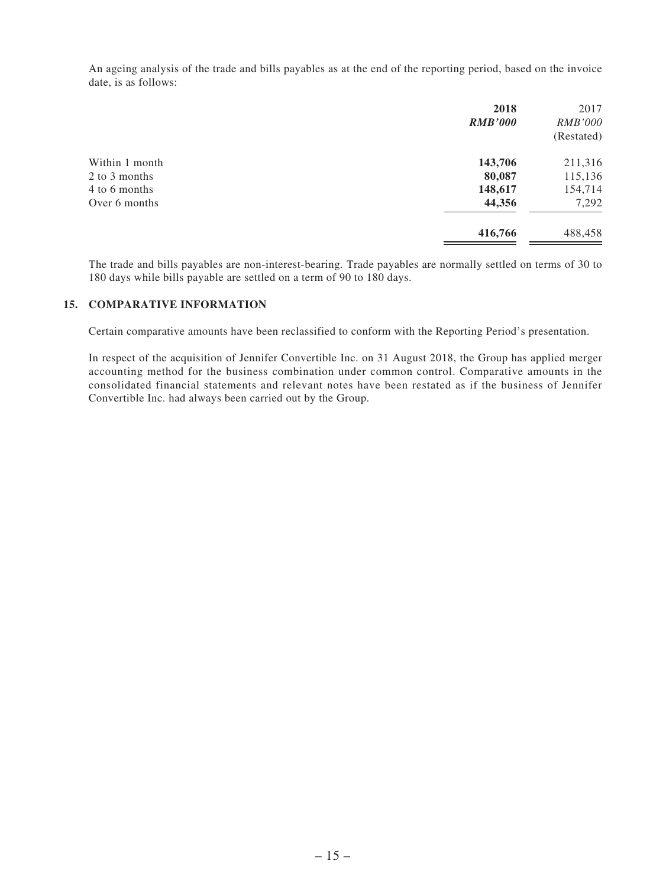An ageing analysis of the trade and bills payables as at the end of the reporting period, based on the invoice date, is as follows:

| 2018<br><b>RMB'000</b> | 2017<br><i>RMB'000</i> |
|------------------------|------------------------|
|                        | (Restated)             |
| 143,706                | 211,316                |
| 80,087                 | 115,136                |
|                        | 154,714                |
| 44,356                 | 7,292                  |
| 416,766                | 488,458                |
|                        | 148,617                |

The trade and bills payables are non-interest-bearing. Trade payables are normally settled on terms of 30 to 180 days while bills payable are settled on a term of 90 to 180 days.

#### **15. COMPARATIVE INFORMATION**

Certain comparative amounts have been reclassified to conform with the Reporting Period's presentation.

In respect of the acquisition of Jennifer Convertible Inc. on 31 August 2018, the Group has applied merger accounting method for the business combination under common control. Comparative amounts in the consolidated financial statements and relevant notes have been restated as if the business of Jennifer Convertible Inc. had always been carried out by the Group.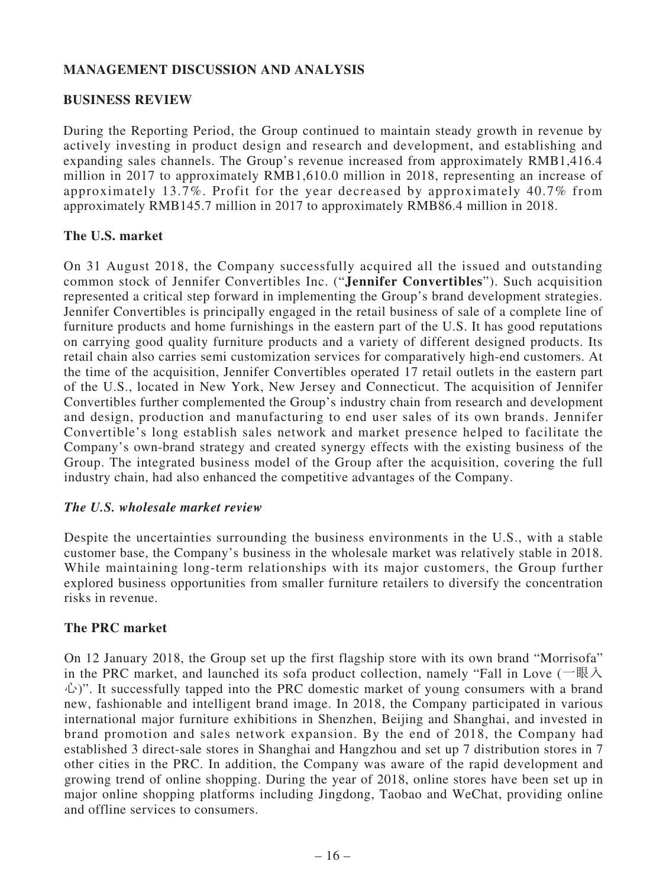# **MANAGEMENT DISCUSSION AND ANALYSIS**

### **BUSINESS REVIEW**

During the Reporting Period, the Group continued to maintain steady growth in revenue by actively investing in product design and research and development, and establishing and expanding sales channels. The Group's revenue increased from approximately RMB1,416.4 million in 2017 to approximately RMB1,610.0 million in 2018, representing an increase of approximately 13.7%. Profit for the year decreased by approximately 40.7% from approximately RMB145.7 million in 2017 to approximately RMB86.4 million in 2018.

#### **The U.S. market**

On 31 August 2018, the Company successfully acquired all the issued and outstanding common stock of Jennifer Convertibles Inc. ("**Jennifer Convertibles**"). Such acquisition represented a critical step forward in implementing the Group's brand development strategies. Jennifer Convertibles is principally engaged in the retail business of sale of a complete line of furniture products and home furnishings in the eastern part of the U.S. It has good reputations on carrying good quality furniture products and a variety of different designed products. Its retail chain also carries semi customization services for comparatively high-end customers. At the time of the acquisition, Jennifer Convertibles operated 17 retail outlets in the eastern part of the U.S., located in New York, New Jersey and Connecticut. The acquisition of Jennifer Convertibles further complemented the Group's industry chain from research and development and design, production and manufacturing to end user sales of its own brands. Jennifer Convertible's long establish sales network and market presence helped to facilitate the Company's own-brand strategy and created synergy effects with the existing business of the Group. The integrated business model of the Group after the acquisition, covering the full industry chain, had also enhanced the competitive advantages of the Company.

#### *The U.S. wholesale market review*

Despite the uncertainties surrounding the business environments in the U.S., with a stable customer base, the Company's business in the wholesale market was relatively stable in 2018. While maintaining long-term relationships with its major customers, the Group further explored business opportunities from smaller furniture retailers to diversify the concentration risks in revenue.

## **The PRC market**

On 12 January 2018, the Group set up the first flagship store with its own brand "Morrisofa" in the PRC market, and launched its sofa product collection, namely "Fall in Love (一眼入 心)". It successfully tapped into the PRC domestic market of young consumers with a brand new, fashionable and intelligent brand image. In 2018, the Company participated in various international major furniture exhibitions in Shenzhen, Beijing and Shanghai, and invested in brand promotion and sales network expansion. By the end of 2018, the Company had established 3 direct-sale stores in Shanghai and Hangzhou and set up 7 distribution stores in 7 other cities in the PRC. In addition, the Company was aware of the rapid development and growing trend of online shopping. During the year of 2018, online stores have been set up in major online shopping platforms including Jingdong, Taobao and WeChat, providing online and offline services to consumers.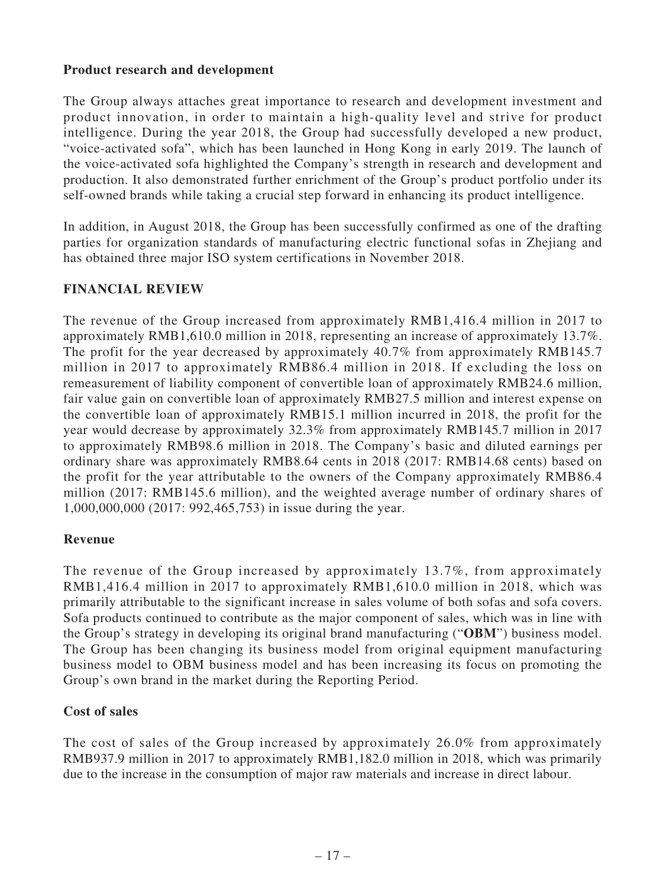### **Product research and development**

The Group always attaches great importance to research and development investment and product innovation, in order to maintain a high-quality level and strive for product intelligence. During the year 2018, the Group had successfully developed a new product, "voice-activated sofa", which has been launched in Hong Kong in early 2019. The launch of the voice-activated sofa highlighted the Company's strength in research and development and production. It also demonstrated further enrichment of the Group's product portfolio under its self-owned brands while taking a crucial step forward in enhancing its product intelligence.

In addition, in August 2018, the Group has been successfully confirmed as one of the drafting parties for organization standards of manufacturing electric functional sofas in Zheijang and has obtained three major ISO system certifications in November 2018.

# **FINANCIAL REVIEW**

The revenue of the Group increased from approximately RMB1,416.4 million in 2017 to approximately RMB1,610.0 million in 2018, representing an increase of approximately 13.7%. The profit for the year decreased by approximately 40.7% from approximately RMB145.7 million in 2017 to approximately RMB86.4 million in 2018. If excluding the loss on remeasurement of liability component of convertible loan of approximately RMB24.6 million, fair value gain on convertible loan of approximately RMB27.5 million and interest expense on the convertible loan of approximately RMB15.1 million incurred in 2018, the profit for the year would decrease by approximately 32.3% from approximately RMB145.7 million in 2017 to approximately RMB98.6 million in 2018. The Company's basic and diluted earnings per ordinary share was approximately RMB8.64 cents in 2018 (2017: RMB14.68 cents) based on the profit for the year attributable to the owners of the Company approximately RMB86.4 million (2017: RMB145.6 million), and the weighted average number of ordinary shares of 1,000,000,000 (2017: 992,465,753) in issue during the year.

## **Revenue**

The revenue of the Group increased by approximately  $13.7\%$ , from approximately RMB1,416.4 million in 2017 to approximately RMB1,610.0 million in 2018, which was primarily attributable to the significant increase in sales volume of both sofas and sofa covers. Sofa products continued to contribute as the major component of sales, which was in line with the Group's strategy in developing its original brand manufacturing ("**OBM**") business model. The Group has been changing its business model from original equipment manufacturing business model to OBM business model and has been increasing its focus on promoting the Group's own brand in the market during the Reporting Period.

## **Cost of sales**

The cost of sales of the Group increased by approximately 26.0% from approximately RMB937.9 million in 2017 to approximately RMB1,182.0 million in 2018, which was primarily due to the increase in the consumption of major raw materials and increase in direct labour.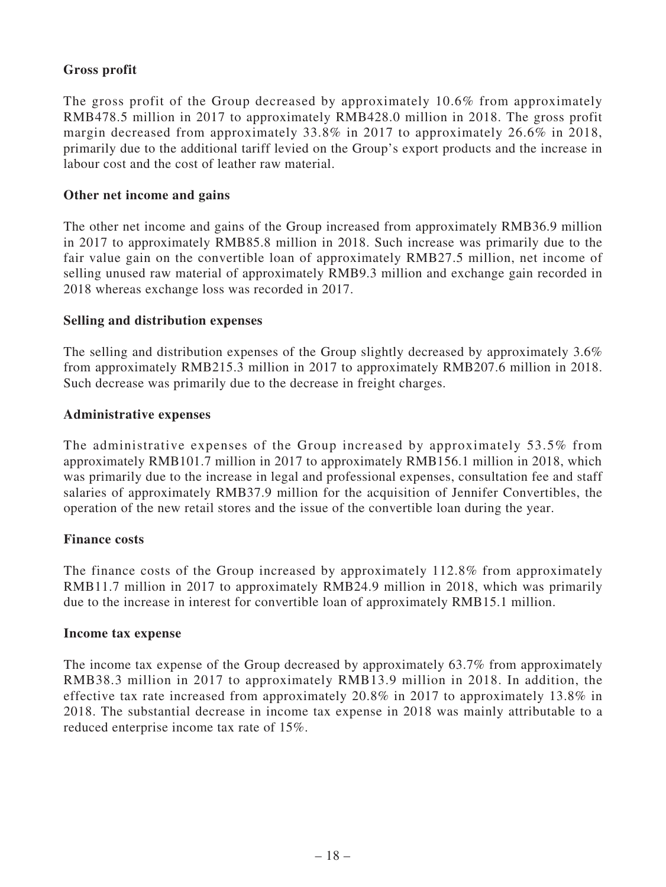# **Gross profit**

The gross profit of the Group decreased by approximately 10.6% from approximately RMB478.5 million in 2017 to approximately RMB428.0 million in 2018. The gross profit margin decreased from approximately 33.8% in 2017 to approximately 26.6% in 2018, primarily due to the additional tariff levied on the Group's export products and the increase in labour cost and the cost of leather raw material.

### **Other net income and gains**

The other net income and gains of the Group increased from approximately RMB36.9 million in 2017 to approximately RMB85.8 million in 2018. Such increase was primarily due to the fair value gain on the convertible loan of approximately RMB27.5 million, net income of selling unused raw material of approximately RMB9.3 million and exchange gain recorded in 2018 whereas exchange loss was recorded in 2017.

#### **Selling and distribution expenses**

The selling and distribution expenses of the Group slightly decreased by approximately 3.6% from approximately RMB215.3 million in 2017 to approximately RMB207.6 million in 2018. Such decrease was primarily due to the decrease in freight charges.

#### **Administrative expenses**

The administrative expenses of the Group increased by approximately  $53.5\%$  from approximately RMB101.7 million in 2017 to approximately RMB156.1 million in 2018, which was primarily due to the increase in legal and professional expenses, consultation fee and staff salaries of approximately RMB37.9 million for the acquisition of Jennifer Convertibles, the operation of the new retail stores and the issue of the convertible loan during the year.

#### **Finance costs**

The finance costs of the Group increased by approximately 112.8% from approximately RMB11.7 million in 2017 to approximately RMB24.9 million in 2018, which was primarily due to the increase in interest for convertible loan of approximately RMB15.1 million.

#### **Income tax expense**

The income tax expense of the Group decreased by approximately 63.7% from approximately RMB38.3 million in 2017 to approximately RMB13.9 million in 2018. In addition, the effective tax rate increased from approximately 20.8% in 2017 to approximately 13.8% in 2018. The substantial decrease in income tax expense in 2018 was mainly attributable to a reduced enterprise income tax rate of 15%.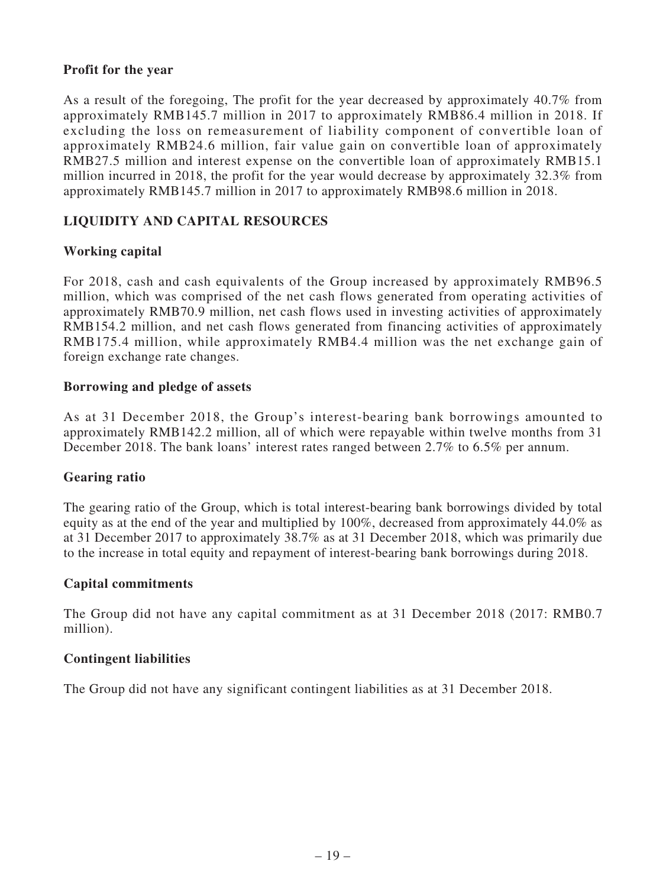#### **Profit for the year**

As a result of the foregoing, The profit for the year decreased by approximately 40.7% from approximately RMB145.7 million in 2017 to approximately RMB86.4 million in 2018. If excluding the loss on remeasurement of liability component of convertible loan of approximately RMB24.6 million, fair value gain on convertible loan of approximately RMB27.5 million and interest expense on the convertible loan of approximately RMB15.1 million incurred in 2018, the profit for the year would decrease by approximately 32.3% from approximately RMB145.7 million in 2017 to approximately RMB98.6 million in 2018.

# **LIQUIDITY AND CAPITAL RESOURCES**

## **Working capital**

For 2018, cash and cash equivalents of the Group increased by approximately RMB96.5 million, which was comprised of the net cash flows generated from operating activities of approximately RMB70.9 million, net cash flows used in investing activities of approximately RMB154.2 million, and net cash flows generated from financing activities of approximately RMB175.4 million, while approximately RMB4.4 million was the net exchange gain of foreign exchange rate changes.

#### **Borrowing and pledge of assets**

As at 31 December 2018, the Group's interest-bearing bank borrowings amounted to approximately RMB142.2 million, all of which were repayable within twelve months from 31 December 2018. The bank loans' interest rates ranged between 2.7% to 6.5% per annum.

#### **Gearing ratio**

The gearing ratio of the Group, which is total interest-bearing bank borrowings divided by total equity as at the end of the year and multiplied by 100%, decreased from approximately 44.0% as at 31 December 2017 to approximately 38.7% as at 31 December 2018, which was primarily due to the increase in total equity and repayment of interest-bearing bank borrowings during 2018.

#### **Capital commitments**

The Group did not have any capital commitment as at 31 December 2018 (2017: RMB0.7 million).

#### **Contingent liabilities**

The Group did not have any significant contingent liabilities as at 31 December 2018.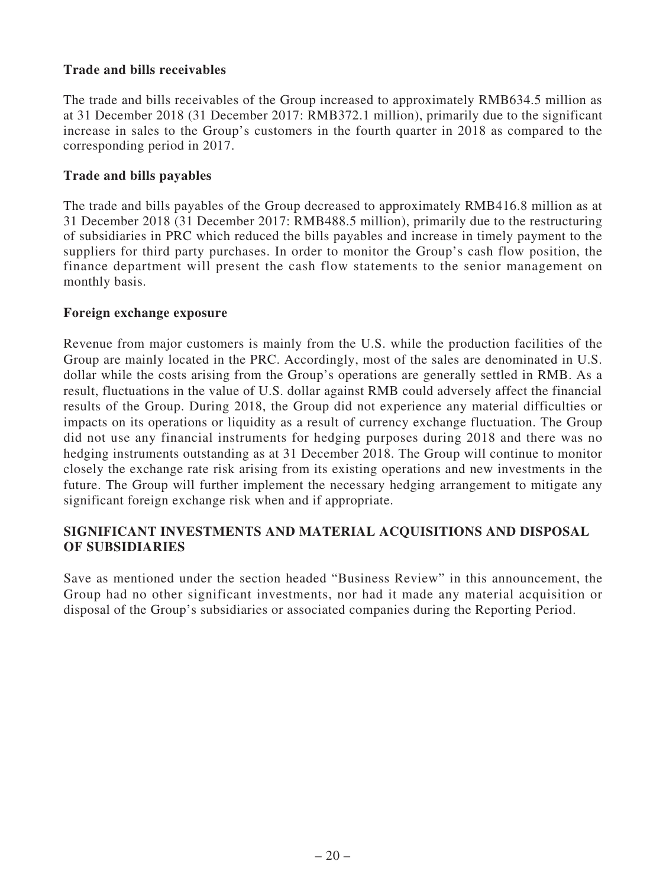## **Trade and bills receivables**

The trade and bills receivables of the Group increased to approximately RMB634.5 million as at 31 December 2018 (31 December 2017: RMB372.1 million), primarily due to the significant increase in sales to the Group's customers in the fourth quarter in 2018 as compared to the corresponding period in 2017.

### **Trade and bills payables**

The trade and bills payables of the Group decreased to approximately RMB416.8 million as at 31 December 2018 (31 December 2017: RMB488.5 million), primarily due to the restructuring of subsidiaries in PRC which reduced the bills payables and increase in timely payment to the suppliers for third party purchases. In order to monitor the Group's cash flow position, the finance department will present the cash flow statements to the senior management on monthly basis.

#### **Foreign exchange exposure**

Revenue from major customers is mainly from the U.S. while the production facilities of the Group are mainly located in the PRC. Accordingly, most of the sales are denominated in U.S. dollar while the costs arising from the Group's operations are generally settled in RMB. As a result, fluctuations in the value of U.S. dollar against RMB could adversely affect the financial results of the Group. During 2018, the Group did not experience any material difficulties or impacts on its operations or liquidity as a result of currency exchange fluctuation. The Group did not use any financial instruments for hedging purposes during 2018 and there was no hedging instruments outstanding as at 31 December 2018. The Group will continue to monitor closely the exchange rate risk arising from its existing operations and new investments in the future. The Group will further implement the necessary hedging arrangement to mitigate any significant foreign exchange risk when and if appropriate.

## **SIGNIFICANT INVESTMENTS AND MATERIAL ACQUISITIONS AND DISPOSAL OF SUBSIDIARIES**

Save as mentioned under the section headed "Business Review" in this announcement, the Group had no other significant investments, nor had it made any material acquisition or disposal of the Group's subsidiaries or associated companies during the Reporting Period.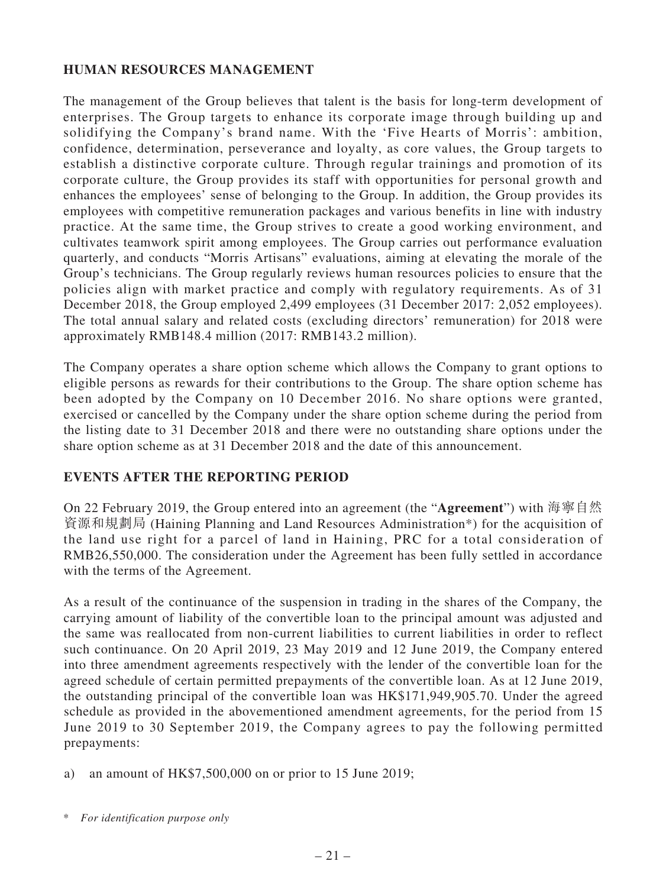## **HUMAN RESOURCES MANAGEMENT**

The management of the Group believes that talent is the basis for long-term development of enterprises. The Group targets to enhance its corporate image through building up and solidifying the Company's brand name. With the 'Five Hearts of Morris': ambition, confidence, determination, perseverance and loyalty, as core values, the Group targets to establish a distinctive corporate culture. Through regular trainings and promotion of its corporate culture, the Group provides its staff with opportunities for personal growth and enhances the employees' sense of belonging to the Group. In addition, the Group provides its employees with competitive remuneration packages and various benefits in line with industry practice. At the same time, the Group strives to create a good working environment, and cultivates teamwork spirit among employees. The Group carries out performance evaluation quarterly, and conducts "Morris Artisans" evaluations, aiming at elevating the morale of the Group's technicians. The Group regularly reviews human resources policies to ensure that the policies align with market practice and comply with regulatory requirements. As of 31 December 2018, the Group employed 2,499 employees (31 December 2017: 2,052 employees). The total annual salary and related costs (excluding directors' remuneration) for 2018 were approximately RMB148.4 million (2017: RMB143.2 million).

The Company operates a share option scheme which allows the Company to grant options to eligible persons as rewards for their contributions to the Group. The share option scheme has been adopted by the Company on 10 December 2016. No share options were granted, exercised or cancelled by the Company under the share option scheme during the period from the listing date to 31 December 2018 and there were no outstanding share options under the share option scheme as at 31 December 2018 and the date of this announcement.

## **EVENTS AFTER THE REPORTING PERIOD**

On 22 February 2019, the Group entered into an agreement (the "**Agreement**") with 海寧自然 資源和規劃局 (Haining Planning and Land Resources Administration\*) for the acquisition of the land use right for a parcel of land in Haining, PRC for a total consideration of RMB26,550,000. The consideration under the Agreement has been fully settled in accordance with the terms of the Agreement.

As a result of the continuance of the suspension in trading in the shares of the Company, the carrying amount of liability of the convertible loan to the principal amount was adjusted and the same was reallocated from non-current liabilities to current liabilities in order to reflect such continuance. On 20 April 2019, 23 May 2019 and 12 June 2019, the Company entered into three amendment agreements respectively with the lender of the convertible loan for the agreed schedule of certain permitted prepayments of the convertible loan. As at 12 June 2019, the outstanding principal of the convertible loan was HK\$171,949,905.70. Under the agreed schedule as provided in the abovementioned amendment agreements, for the period from 15 June 2019 to 30 September 2019, the Company agrees to pay the following permitted prepayments:

a) an amount of  $HK$7,500,000$  on or prior to 15 June 2019;

<sup>\*</sup> *For identification purpose only*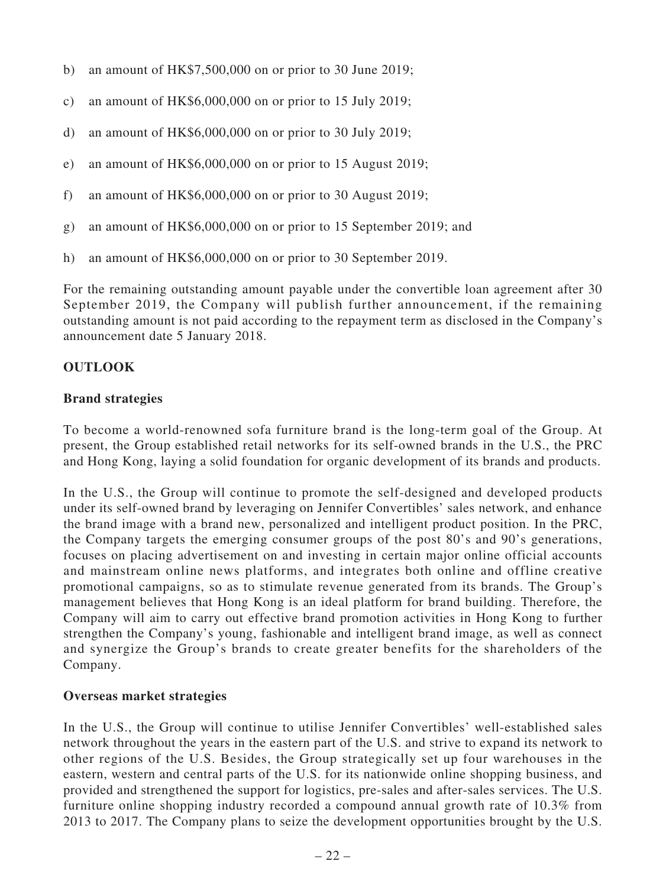- b) an amount of  $HK$7,500,000$  on or prior to 30 June 2019;
- c) an amount of HK\$6,000,000 on or prior to 15 July 2019;
- d) an amount of  $HK$6,000,000$  on or prior to 30 July 2019;
- e) an amount of HK\$6,000,000 on or prior to 15 August 2019;
- f) an amount of  $HK\$  $6,000,000$  on or prior to 30 August 2019;
- g) an amount of HK\$6,000,000 on or prior to 15 September 2019; and
- h) an amount of HK\$6,000,000 on or prior to 30 September 2019.

For the remaining outstanding amount payable under the convertible loan agreement after 30 September 2019, the Company will publish further announcement, if the remaining outstanding amount is not paid according to the repayment term as disclosed in the Company's announcement date 5 January 2018.

#### **OUTLOOK**

#### **Brand strategies**

To become a world-renowned sofa furniture brand is the long-term goal of the Group. At present, the Group established retail networks for its self-owned brands in the U.S., the PRC and Hong Kong, laying a solid foundation for organic development of its brands and products.

In the U.S., the Group will continue to promote the self-designed and developed products under its self-owned brand by leveraging on Jennifer Convertibles' sales network, and enhance the brand image with a brand new, personalized and intelligent product position. In the PRC, the Company targets the emerging consumer groups of the post 80's and 90's generations, focuses on placing advertisement on and investing in certain major online official accounts and mainstream online news platforms, and integrates both online and offline creative promotional campaigns, so as to stimulate revenue generated from its brands. The Group's management believes that Hong Kong is an ideal platform for brand building. Therefore, the Company will aim to carry out effective brand promotion activities in Hong Kong to further strengthen the Company's young, fashionable and intelligent brand image, as well as connect and synergize the Group's brands to create greater benefits for the shareholders of the Company.

#### **Overseas market strategies**

In the U.S., the Group will continue to utilise Jennifer Convertibles' well-established sales network throughout the years in the eastern part of the U.S. and strive to expand its network to other regions of the U.S. Besides, the Group strategically set up four warehouses in the eastern, western and central parts of the U.S. for its nationwide online shopping business, and provided and strengthened the support for logistics, pre-sales and after-sales services. The U.S. furniture online shopping industry recorded a compound annual growth rate of 10.3% from 2013 to 2017. The Company plans to seize the development opportunities brought by the U.S.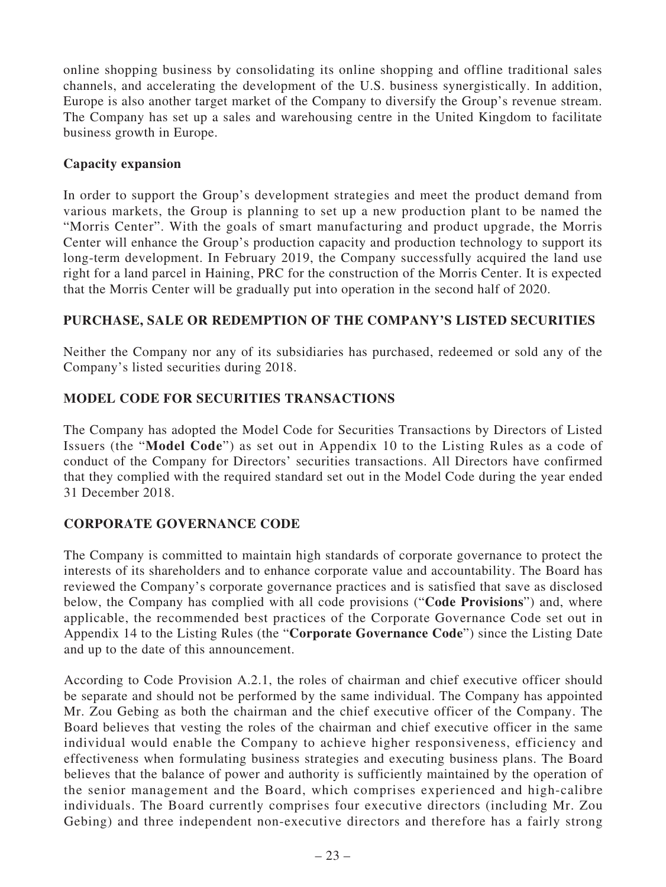online shopping business by consolidating its online shopping and offline traditional sales channels, and accelerating the development of the U.S. business synergistically. In addition, Europe is also another target market of the Company to diversify the Group's revenue stream. The Company has set up a sales and warehousing centre in the United Kingdom to facilitate business growth in Europe.

# **Capacity expansion**

In order to support the Group's development strategies and meet the product demand from various markets, the Group is planning to set up a new production plant to be named the "Morris Center". With the goals of smart manufacturing and product upgrade, the Morris Center will enhance the Group's production capacity and production technology to support its long-term development. In February 2019, the Company successfully acquired the land use right for a land parcel in Haining, PRC for the construction of the Morris Center. It is expected that the Morris Center will be gradually put into operation in the second half of 2020.

# **PURCHASE, SALE OR REDEMPTION OF THE COMPANY'S LISTED SECURITIES**

Neither the Company nor any of its subsidiaries has purchased, redeemed or sold any of the Company's listed securities during 2018.

# **MODEL CODE FOR SECURITIES TRANSACTIONS**

The Company has adopted the Model Code for Securities Transactions by Directors of Listed Issuers (the "**Model Code**") as set out in Appendix 10 to the Listing Rules as a code of conduct of the Company for Directors' securities transactions. All Directors have confirmed that they complied with the required standard set out in the Model Code during the year ended 31 December 2018.

# **CORPORATE GOVERNANCE CODE**

The Company is committed to maintain high standards of corporate governance to protect the interests of its shareholders and to enhance corporate value and accountability. The Board has reviewed the Company's corporate governance practices and is satisfied that save as disclosed below, the Company has complied with all code provisions ("**Code Provisions**") and, where applicable, the recommended best practices of the Corporate Governance Code set out in Appendix 14 to the Listing Rules (the "**Corporate Governance Code**") since the Listing Date and up to the date of this announcement.

According to Code Provision A.2.1, the roles of chairman and chief executive officer should be separate and should not be performed by the same individual. The Company has appointed Mr. Zou Gebing as both the chairman and the chief executive officer of the Company. The Board believes that vesting the roles of the chairman and chief executive officer in the same individual would enable the Company to achieve higher responsiveness, efficiency and effectiveness when formulating business strategies and executing business plans. The Board believes that the balance of power and authority is sufficiently maintained by the operation of the senior management and the Board, which comprises experienced and high-calibre individuals. The Board currently comprises four executive directors (including Mr. Zou Gebing) and three independent non-executive directors and therefore has a fairly strong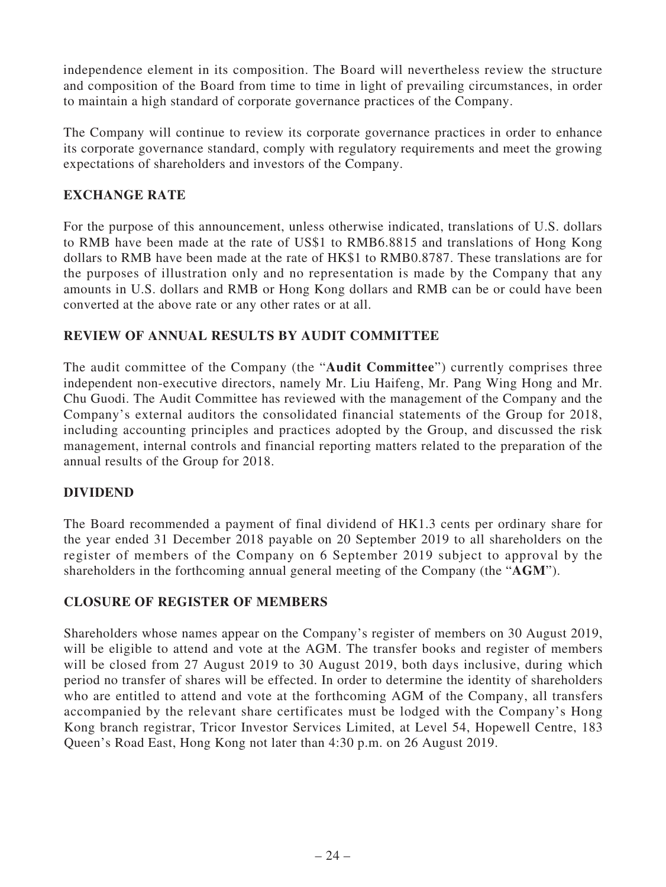independence element in its composition. The Board will nevertheless review the structure and composition of the Board from time to time in light of prevailing circumstances, in order to maintain a high standard of corporate governance practices of the Company.

The Company will continue to review its corporate governance practices in order to enhance its corporate governance standard, comply with regulatory requirements and meet the growing expectations of shareholders and investors of the Company.

# **EXCHANGE RATE**

For the purpose of this announcement, unless otherwise indicated, translations of U.S. dollars to RMB have been made at the rate of US\$1 to RMB6.8815 and translations of Hong Kong dollars to RMB have been made at the rate of HK\$1 to RMB0.8787. These translations are for the purposes of illustration only and no representation is made by the Company that any amounts in U.S. dollars and RMB or Hong Kong dollars and RMB can be or could have been converted at the above rate or any other rates or at all.

# **REVIEW OF ANNUAL RESULTS BY AUDIT COMMITTEE**

The audit committee of the Company (the "**Audit Committee**") currently comprises three independent non-executive directors, namely Mr. Liu Haifeng, Mr. Pang Wing Hong and Mr. Chu Guodi. The Audit Committee has reviewed with the management of the Company and the Company's external auditors the consolidated financial statements of the Group for 2018, including accounting principles and practices adopted by the Group, and discussed the risk management, internal controls and financial reporting matters related to the preparation of the annual results of the Group for 2018.

## **DIVIDEND**

The Board recommended a payment of final dividend of HK1.3 cents per ordinary share for the year ended 31 December 2018 payable on 20 September 2019 to all shareholders on the register of members of the Company on 6 September 2019 subject to approval by the shareholders in the forthcoming annual general meeting of the Company (the "**AGM**").

## **CLOSURE OF REGISTER OF MEMBERS**

Shareholders whose names appear on the Company's register of members on 30 August 2019, will be eligible to attend and vote at the AGM. The transfer books and register of members will be closed from 27 August 2019 to 30 August 2019, both days inclusive, during which period no transfer of shares will be effected. In order to determine the identity of shareholders who are entitled to attend and vote at the forthcoming AGM of the Company, all transfers accompanied by the relevant share certificates must be lodged with the Company's Hong Kong branch registrar, Tricor Investor Services Limited, at Level 54, Hopewell Centre, 183 Queen's Road East, Hong Kong not later than 4:30 p.m. on 26 August 2019.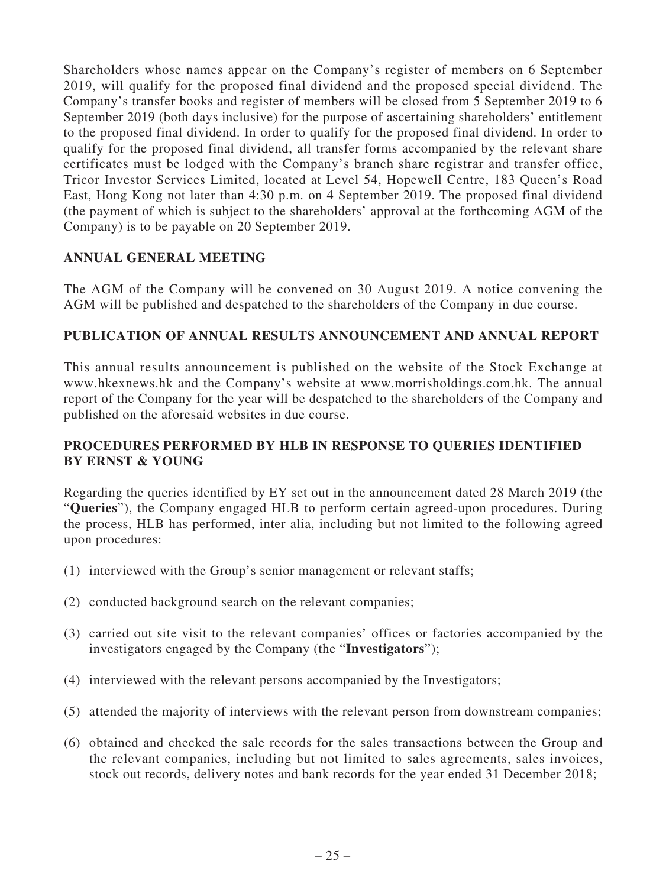Shareholders whose names appear on the Company's register of members on 6 September 2019, will qualify for the proposed final dividend and the proposed special dividend. The Company's transfer books and register of members will be closed from 5 September 2019 to 6 September 2019 (both days inclusive) for the purpose of ascertaining shareholders' entitlement to the proposed final dividend. In order to qualify for the proposed final dividend. In order to qualify for the proposed final dividend, all transfer forms accompanied by the relevant share certificates must be lodged with the Company's branch share registrar and transfer office, Tricor Investor Services Limited, located at Level 54, Hopewell Centre, 183 Queen's Road East, Hong Kong not later than 4:30 p.m. on 4 September 2019. The proposed final dividend (the payment of which is subject to the shareholders' approval at the forthcoming AGM of the Company) is to be payable on 20 September 2019.

# **ANNUAL GENERAL MEETING**

The AGM of the Company will be convened on 30 August 2019. A notice convening the AGM will be published and despatched to the shareholders of the Company in due course.

## **PUBLICATION OF ANNUAL RESULTS ANNOUNCEMENT AND ANNUAL REPORT**

This annual results announcement is published on the website of the Stock Exchange at www.hkexnews.hk and the Company's website at www.morrisholdings.com.hk. The annual report of the Company for the year will be despatched to the shareholders of the Company and published on the aforesaid websites in due course.

## **PROCEDURES PERFORMED BY HLB IN RESPONSE TO QUERIES IDENTIFIED BY ERNST & YOUNG**

Regarding the queries identified by EY set out in the announcement dated 28 March 2019 (the "**Queries**"), the Company engaged HLB to perform certain agreed-upon procedures. During the process, HLB has performed, inter alia, including but not limited to the following agreed upon procedures:

- (1) interviewed with the Group's senior management or relevant staffs;
- (2) conducted background search on the relevant companies;
- (3) carried out site visit to the relevant companies' offices or factories accompanied by the investigators engaged by the Company (the "**Investigators**");
- (4) interviewed with the relevant persons accompanied by the Investigators;
- (5) attended the majority of interviews with the relevant person from downstream companies;
- (6) obtained and checked the sale records for the sales transactions between the Group and the relevant companies, including but not limited to sales agreements, sales invoices, stock out records, delivery notes and bank records for the year ended 31 December 2018;